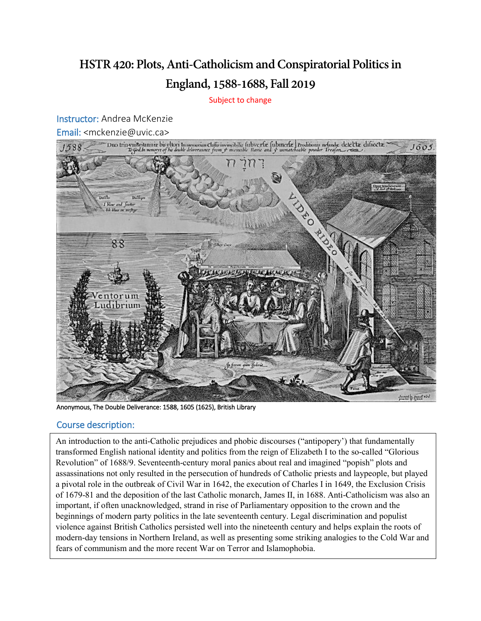## **HSTR 420: Plots, Anti-Catholicism and Conspiratorial Politics in England, 1588-1688, Fall 2019**

Subject to change

Instructor: Andrea McKenzie



## Course description:

 Revolution" of 1688/9. Seventeenth-century moral panics about real and imagined "popish" plots and beginnings of modern party politics in the late seventeenth century. Legal discrimination and populist violence against British Catholics persisted well into the nineteenth century and helps explain the roots of An introduction to the anti-Catholic prejudices and phobic discourses ("antipopery') that fundamentally transformed English national identity and politics from the reign of Elizabeth I to the so-called "Glorious assassinations not only resulted in the persecution of hundreds of Catholic priests and laypeople, but played a pivotal role in the outbreak of Civil War in 1642, the execution of Charles I in 1649, the Exclusion Crisis of 1679-81 and the deposition of the last Catholic monarch, James II, in 1688. Anti-Catholicism was also an important, if often unacknowledged, strand in rise of Parliamentary opposition to the crown and the modern-day tensions in Northern Ireland, as well as presenting some striking analogies to the Cold War and fears of communism and the more recent War on Terror and Islamophobia.